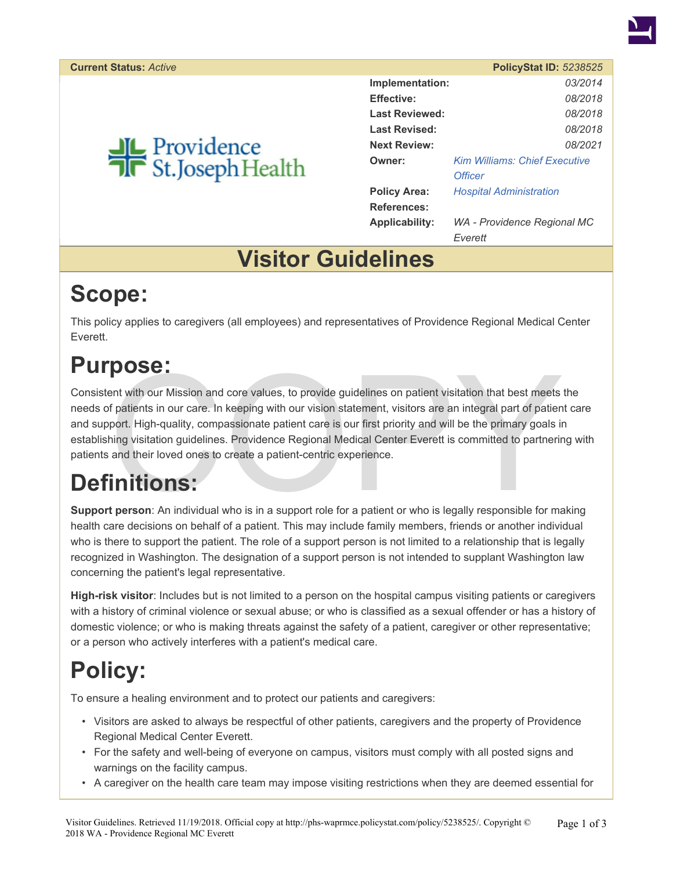

# Providence<br>Tr St.Joseph Health

|                       | POIICVOLAL ID. <i>3230323</i>        |  |
|-----------------------|--------------------------------------|--|
| Implementation:       | 03/2014                              |  |
| <b>Effective:</b>     | 08/2018                              |  |
| <b>Last Reviewed:</b> | 08/2018                              |  |
| <b>Last Revised:</b>  | 08/2018                              |  |
| <b>Next Review:</b>   | 08/2021                              |  |
| Owner:                | <b>Kim Williams: Chief Executive</b> |  |
|                       | <b>Officer</b>                       |  |
| <b>Policy Area:</b>   | <b>Hospital Administration</b>       |  |
| <b>References:</b>    |                                      |  |
| <b>Applicability:</b> | WA - Providence Regional MC          |  |
|                       | Everett                              |  |

### **Visitor Guidelines**

# **Scope:**

This policy applies to caregivers (all employees) and representatives of Providence Regional Medical Center Everett.

# **Purpose:**

**POSE:**<br>
ent with our Mission and core values, to provide guidelines on patient visitation that best meets<br>
f patients in our care. In keeping with our vision statement, visitors are an integral part of patien<br>
port. High-Consistent with our Mission and core values, to provide guidelines on patient visitation that best meets the needs of patients in our care. In keeping with our vision statement, visitors are an integral part of patient care and support. High-quality, compassionate patient care is our first priority and will be the primary goals in establishing visitation guidelines. Providence Regional Medical Center Everett is committed to partnering with patients and their loved ones to create a patient-centric experience.

# **Definitions:**

**Support person**: An individual who is in a support role for a patient or who is legally responsible for making health care decisions on behalf of a patient. This may include family members, friends or another individual who is there to support the patient. The role of a support person is not limited to a relationship that is legally recognized in Washington. The designation of a support person is not intended to supplant Washington law concerning the patient's legal representative.

**High-risk visitor**: Includes but is not limited to a person on the hospital campus visiting patients or caregivers with a history of criminal violence or sexual abuse; or who is classified as a sexual offender or has a history of domestic violence; or who is making threats against the safety of a patient, caregiver or other representative; or a person who actively interferes with a patient's medical care.

# **Policy:**

To ensure a healing environment and to protect our patients and caregivers:

- Visitors are asked to always be respectful of other patients, caregivers and the property of Providence Regional Medical Center Everett.
- For the safety and well-being of everyone on campus, visitors must comply with all posted signs and warnings on the facility campus.
- A caregiver on the health care team may impose visiting restrictions when they are deemed essential for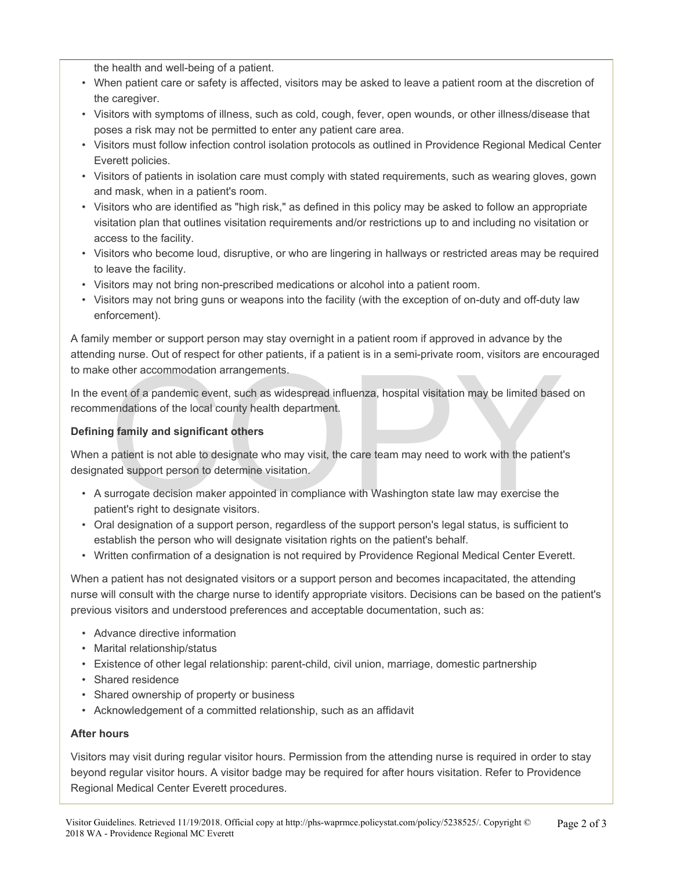the health and well-being of a patient.

- When patient care or safety is affected, visitors may be asked to leave a patient room at the discretion of the caregiver.
- Visitors with symptoms of illness, such as cold, cough, fever, open wounds, or other illness/disease that poses a risk may not be permitted to enter any patient care area.
- Visitors must follow infection control isolation protocols as outlined in Providence Regional Medical Center Everett policies.
- Visitors of patients in isolation care must comply with stated requirements, such as wearing gloves, gown and mask, when in a patient's room.
- Visitors who are identified as "high risk," as defined in this policy may be asked to follow an appropriate visitation plan that outlines visitation requirements and/or restrictions up to and including no visitation or access to the facility.
- Visitors who become loud, disruptive, or who are lingering in hallways or restricted areas may be required to leave the facility.
- Visitors may not bring non-prescribed medications or alcohol into a patient room.
- Visitors may not bring guns or weapons into the facility (with the exception of on-duty and off-duty law enforcement).

A family member or support person may stay overnight in a patient room if approved in advance by the attending nurse. Out of respect for other patients, if a patient is in a semi-private room, visitors are encouraged to make other accommodation arrangements.

other accommodation arrangements.<br>
went of a pandemic event, such as widespread influenza, hospital visitation may be limited base<br>
endations of the local county health department.<br> **g family and significant others**<br>
patie In the event of a pandemic event, such as widespread influenza, hospital visitation may be limited based on recommendations of the local county health department.

#### **Defining family and significant others**

When a patient is not able to designate who may visit, the care team may need to work with the patient's designated support person to determine visitation.

- A surrogate decision maker appointed in compliance with Washington state law may exercise the patient's right to designate visitors.
- Oral designation of a support person, regardless of the support person's legal status, is sufficient to establish the person who will designate visitation rights on the patient's behalf.
- Written confirmation of a designation is not required by Providence Regional Medical Center Everett.

When a patient has not designated visitors or a support person and becomes incapacitated, the attending nurse will consult with the charge nurse to identify appropriate visitors. Decisions can be based on the patient's previous visitors and understood preferences and acceptable documentation, such as:

- Advance directive information
- Marital relationship/status
- Existence of other legal relationship: parent-child, civil union, marriage, domestic partnership
- Shared residence
- Shared ownership of property or business
- Acknowledgement of a committed relationship, such as an affidavit

#### **After hours**

Visitors may visit during regular visitor hours. Permission from the attending nurse is required in order to stay beyond regular visitor hours. A visitor badge may be required for after hours visitation. Refer to Providence Regional Medical Center Everett procedures.